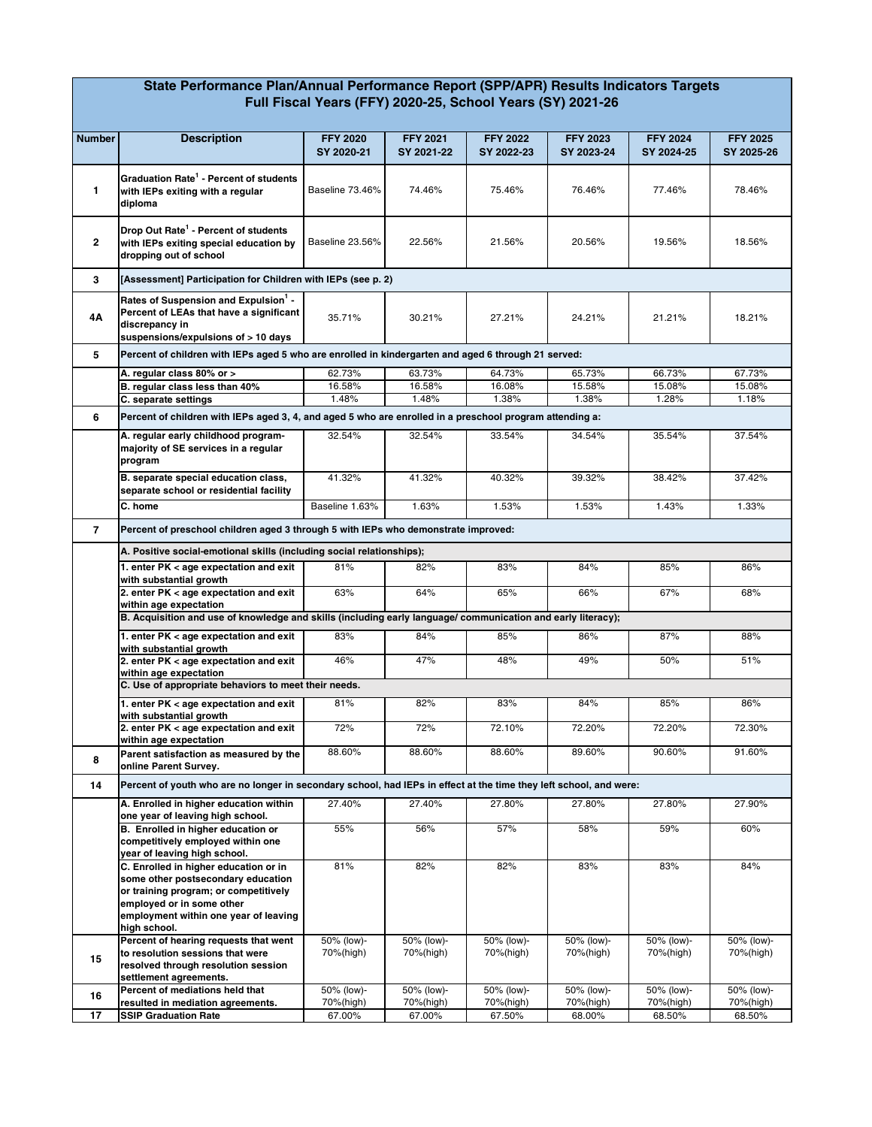## **State Performance Plan/Annual Performance Report (SPP/APR) Results Indicators Targets Full Fiscal Years (FFY) 2020-25, School Years (SY) 2021-26**

| <b>Number</b>  | <b>Description</b>                                                                                                                                   | <b>FFY 2020</b> | <b>FFY 2021</b> | <b>FFY 2022</b> | <b>FFY 2023</b> | <b>FFY 2024</b> | <b>FFY 2025</b> |  |
|----------------|------------------------------------------------------------------------------------------------------------------------------------------------------|-----------------|-----------------|-----------------|-----------------|-----------------|-----------------|--|
|                |                                                                                                                                                      | SY 2020-21      | SY 2021-22      | SY 2022-23      | SY 2023-24      | SY 2024-25      | SY 2025-26      |  |
| $\mathbf{1}$   | Graduation Rate <sup>1</sup> - Percent of students<br>with IEPs exiting with a regular<br>diploma                                                    | Baseline 73.46% | 74.46%          | 75.46%          | 76.46%          | 77.46%          | 78.46%          |  |
| $\overline{2}$ | Drop Out Rate <sup>1</sup> - Percent of students<br>with IEPs exiting special education by<br>dropping out of school                                 | Baseline 23.56% | 22.56%          | 21.56%          | 20.56%          | 19.56%          | 18.56%          |  |
| 3              | [Assessment] Participation for Children with IEPs (see p. 2)                                                                                         |                 |                 |                 |                 |                 |                 |  |
| 4Α             | Rates of Suspension and Expulsion <sup>1</sup> -<br>Percent of LEAs that have a significant<br>discrepancy in<br>suspensions/expulsions of > 10 days | 35.71%          | 30.21%          | 27.21%          | 24.21%          | 21.21%          | 18.21%          |  |
| 5              | Percent of children with IEPs aged 5 who are enrolled in kindergarten and aged 6 through 21 served:                                                  |                 |                 |                 |                 |                 |                 |  |
|                | A. regular class 80% or >                                                                                                                            | 62.73%          | 63.73%          | 64.73%          | 65.73%          | 66.73%          | 67.73%          |  |
|                | B. regular class less than 40%                                                                                                                       | 16.58%          | 16.58%          | 16.08%          | 15.58%          | 15.08%          | 15.08%          |  |
|                | C. separate settings                                                                                                                                 | 1.48%           | 1.48%           | 1.38%           | 1.38%           | 1.28%           | 1.18%           |  |
| 6              | Percent of children with IEPs aged 3, 4, and aged 5 who are enrolled in a preschool program attending a:                                             |                 |                 |                 |                 |                 |                 |  |
|                | A. regular early childhood program-<br>majority of SE services in a regular<br>program                                                               | 32.54%          | 32.54%          | 33.54%          | 34.54%          | 35.54%          | 37.54%          |  |
|                | B. separate special education class,<br>separate school or residential facility                                                                      | 41.32%          | 41.32%          | 40.32%          | 39.32%          | 38.42%          | 37.42%          |  |
|                | C. home                                                                                                                                              | Baseline 1.63%  | 1.63%           | 1.53%           | 1.53%           | 1.43%           | 1.33%           |  |
| $\overline{7}$ | Percent of preschool children aged 3 through 5 with IEPs who demonstrate improved:                                                                   |                 |                 |                 |                 |                 |                 |  |
|                | A. Positive social-emotional skills (including social relationships);                                                                                |                 |                 |                 |                 |                 |                 |  |
|                | 1. enter PK < age expectation and exit                                                                                                               | 81%             | 82%             | 83%             | 84%             | 85%             | 86%             |  |
|                | with substantial growth<br>2. enter PK < age expectation and exit                                                                                    | 63%             | 64%             | 65%             | 66%             | 67%             | 68%             |  |
|                | within age expectation                                                                                                                               |                 |                 |                 |                 |                 |                 |  |
|                | B. Acquisition and use of knowledge and skills (including early language/ communication and early literacy);                                         |                 |                 |                 |                 |                 |                 |  |
|                | 1. enter PK < age expectation and exit<br>with substantial growth                                                                                    | 83%             | 84%             | 85%             | 86%             | 87%             | 88%             |  |
|                | 2. enter PK < age expectation and exit<br>within age expectation                                                                                     | 46%             | 47%             | 48%             | 49%             | 50%             | 51%             |  |
|                | C. Use of appropriate behaviors to meet their needs.                                                                                                 |                 |                 |                 |                 |                 |                 |  |
|                | 1. enter PK < age expectation and exit<br>with substantial growth                                                                                    | 81%             | 82%             | 83%             | 84%             | 85%             | 86%             |  |
|                | 2. enter PK < age expectation and exit<br>within age expectation                                                                                     | 72%             | 72%             | 72.10%          | 72.20%          | 72.20%          | 72.30%          |  |
| 8              | Parent satisfaction as measured by the<br>online Parent Survey.                                                                                      | 88.60%          | 88.60%          | 88.60%          | 89.60%          | 90.60%          | 91.60%          |  |
| 14             | Percent of youth who are no longer in secondary school, had IEPs in effect at the time they left school, and were:                                   |                 |                 |                 |                 |                 |                 |  |
|                | A. Enrolled in higher education within                                                                                                               | 27.40%          | 27.40%          | 27.80%          | 27.80%          | 27.80%          | 27.90%          |  |
|                | one year of leaving high school.                                                                                                                     |                 |                 |                 |                 |                 |                 |  |
|                | B. Enrolled in higher education or                                                                                                                   | 55%             | 56%             | 57%             | 58%             | 59%             | 60%             |  |
|                | competitively employed within one                                                                                                                    |                 |                 |                 |                 |                 |                 |  |
|                | year of leaving high school.                                                                                                                         | 81%             | 82%             | 82%             | 83%             | 83%             | 84%             |  |
|                | C. Enrolled in higher education or in<br>some other postsecondary education                                                                          |                 |                 |                 |                 |                 |                 |  |
|                | or training program; or competitively                                                                                                                |                 |                 |                 |                 |                 |                 |  |
|                | employed or in some other                                                                                                                            |                 |                 |                 |                 |                 |                 |  |
|                | employment within one year of leaving                                                                                                                |                 |                 |                 |                 |                 |                 |  |
|                | high school.<br>Percent of hearing requests that went                                                                                                | 50% (low)-      | 50% (low)-      | 50% (low)-      | 50% (low)-      | 50% (low)-      | 50% (low)-      |  |
|                | to resolution sessions that were                                                                                                                     | 70%(high)       | 70%(high)       | 70%(high)       | 70%(high)       | 70%(high)       | 70%(high)       |  |
| 15             | resolved through resolution session                                                                                                                  |                 |                 |                 |                 |                 |                 |  |
|                | settlement agreements.                                                                                                                               |                 |                 |                 |                 |                 |                 |  |
| 16             | Percent of mediations held that                                                                                                                      | 50% (low)-      | 50% (low)-      | 50% (low)-      | 50% (low)-      | 50% (low)-      | 50% (low)-      |  |
| 17             | resulted in mediation agreements.                                                                                                                    | 70%(high)       | 70%(high)       | 70%(high)       | 70%(high)       | 70%(high)       | 70%(high)       |  |
|                | <b>SSIP Graduation Rate</b>                                                                                                                          | 67.00%          | 67.00%          | 67.50%          | 68.00%          | 68.50%          | 68.50%          |  |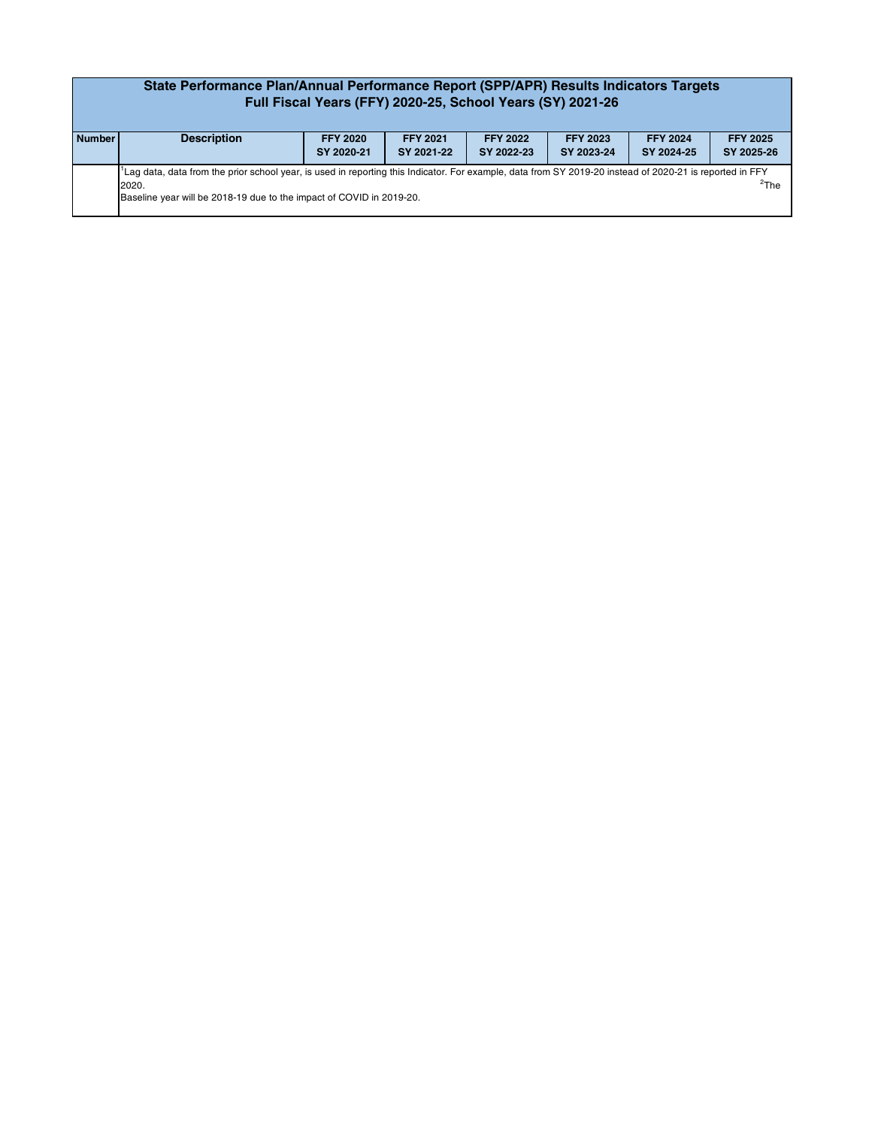| State Performance Plan/Annual Performance Report (SPP/APR) Results Indicators Targets<br>Full Fiscal Years (FFY) 2020-25, School Years (SY) 2021-26 |                                                                                                                                                                                                                                                                |                               |                               |                               |                               |                               |                               |  |
|-----------------------------------------------------------------------------------------------------------------------------------------------------|----------------------------------------------------------------------------------------------------------------------------------------------------------------------------------------------------------------------------------------------------------------|-------------------------------|-------------------------------|-------------------------------|-------------------------------|-------------------------------|-------------------------------|--|
| <b>Number</b>                                                                                                                                       | <b>Description</b>                                                                                                                                                                                                                                             | <b>FFY 2020</b><br>SY 2020-21 | <b>FFY 2021</b><br>SY 2021-22 | <b>FFY 2022</b><br>SY 2022-23 | <b>FFY 2023</b><br>SY 2023-24 | <b>FFY 2024</b><br>SY 2024-25 | <b>FFY 2025</b><br>SY 2025-26 |  |
|                                                                                                                                                     | Lag data, data from the prior school year, is used in reporting this Indicator. For example, data from SY 2019-20 instead of 2020-21 is reported in FFY<br>$\mathrm{^{2}The}$<br>2020.<br>Baseline year will be 2018-19 due to the impact of COVID in 2019-20. |                               |                               |                               |                               |                               |                               |  |